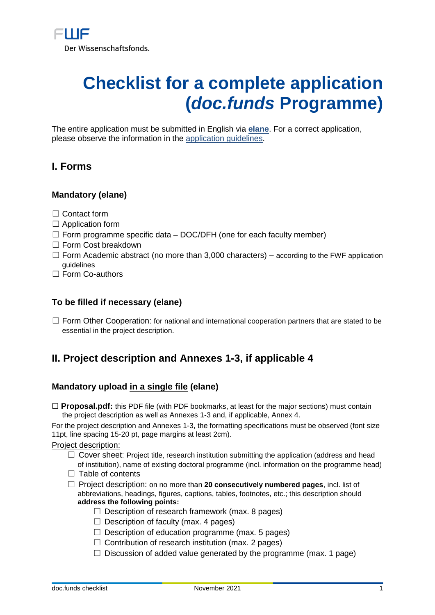# **Checklist for a complete application (***doc.funds* **Programme)**

The entire application must be submitted in English via **[elane](https://elane.fwf.ac.at/page/panel/loginpanel?127)**. For a correct application, please observe the information in the [application guidelines.](https://www.fwf.ac.at/de/forschungsfoerderung/antragstellung/docfunds)

## **I. Forms**

## **Mandatory (elane)**

- ☐ Contact form
- $\Box$  Application form
- $\Box$  Form programme specific data DOC/DFH (one for each faculty member)
- □ Form Cost breakdown
- $\Box$  Form Academic abstract (no more than 3,000 characters) according to the FWF application guidelines
- □ Form Co-authors

#### **To be filled if necessary (elane)**

□ Form Other Cooperation: for national and international cooperation partners that are stated to be essential in the project description.

## **II. Project description and Annexes 1-3, if applicable 4**

## **Mandatory upload in a single file (elane)**

□ **Proposal.pdf:** this PDF file (with PDF bookmarks, at least for the major sections) must contain the project description as well as Annexes 1-3 and, if applicable, Annex 4.

For the project description and Annexes 1-3, the formatting specifications must be observed (font size 11pt, line spacing 15-20 pt, page margins at least 2cm).

Project description:

- $\Box$  Cover sheet: Project title, research institution submitting the application (address and head of institution), name of existing doctoral programme (incl. information on the programme head)
- $\Box$  Table of contents
- ☐ Project description: on no more than **20 consecutively numbered pages**, incl. list of abbreviations, headings, figures, captions, tables, footnotes, etc.; this description should **address the following points:**
	- $\Box$  Description of research framework (max. 8 pages)
	- $\Box$  Description of faculty (max. 4 pages)
	- $\Box$  Description of education programme (max. 5 pages)
	- $\Box$  Contribution of research institution (max. 2 pages)
	- $\Box$  Discussion of added value generated by the programme (max. 1 page)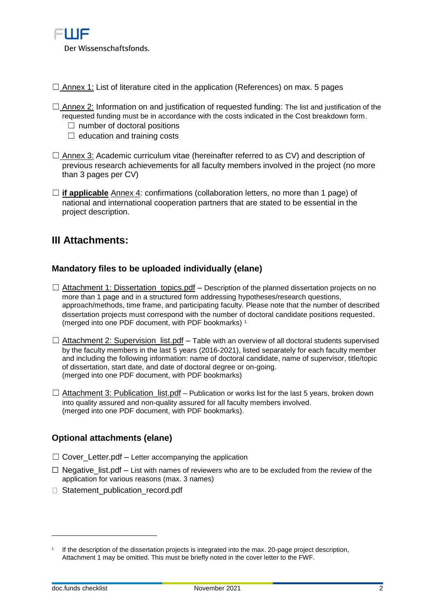

 $\Box$  Annex 1: List of literature cited in the application (References) on max. 5 pages

- $\Box$  Annex 2: Information on and justification of requested funding: The list and justification of the requested funding must be in accordance with the costs indicated in the Cost breakdown form.
	- $\Box$  number of doctoral positions
	- $\Box$  education and training costs
- $\Box$  Annex 3: Academic curriculum vitae (hereinafter referred to as CV) and description of previous research achievements for all faculty members involved in the project (no more than 3 pages per CV)
- ☐ **if applicable** Annex 4: confirmations (collaboration letters, no more than 1 page) of national and international cooperation partners that are stated to be essential in the project description.

## **III Attachments:**

#### **Mandatory files to be uploaded individually (elane)**

- $\Box$  Attachment 1: Dissertation\_topics.pdf Description of the planned dissertation projects on no more than 1 page and in a structured form addressing hypotheses/research questions, approach/methods, time frame, and participating faculty. Please note that the number of described dissertation projects must correspond with the number of doctoral candidate positions requested. (merged into one PDF document, with PDF bookmarks) <sup>1</sup>
- $\Box$  Attachment 2: Supervision list.pdf Table with an overview of all doctoral students supervised by the faculty members in the last 5 years (2016-2021), listed separately for each faculty member and including the following information: name of doctoral candidate, name of supervisor, title/topic of dissertation, start date, and date of doctoral degree or on-going. (merged into one PDF document, with PDF bookmarks)
- $\Box$  Attachment 3: Publication\_list.pdf Publication or works list for the last 5 years, broken down into quality assured and non-quality assured for all faculty members involved. (merged into one PDF document, with PDF bookmarks).

## **Optional attachments (elane)**

- $\Box$  Cover Letter.pdf Letter accompanying the application
- $\Box$  Negative list.pdf List with names of reviewers who are to be excluded from the review of the application for various reasons (max. 3 names)
- □ Statement\_publication\_record.pdf

 $\overline{a}$ 

<sup>1</sup> If the description of the dissertation projects is integrated into the max. 20-page project description, Attachment 1 may be omitted. This must be briefly noted in the cover letter to the FWF.